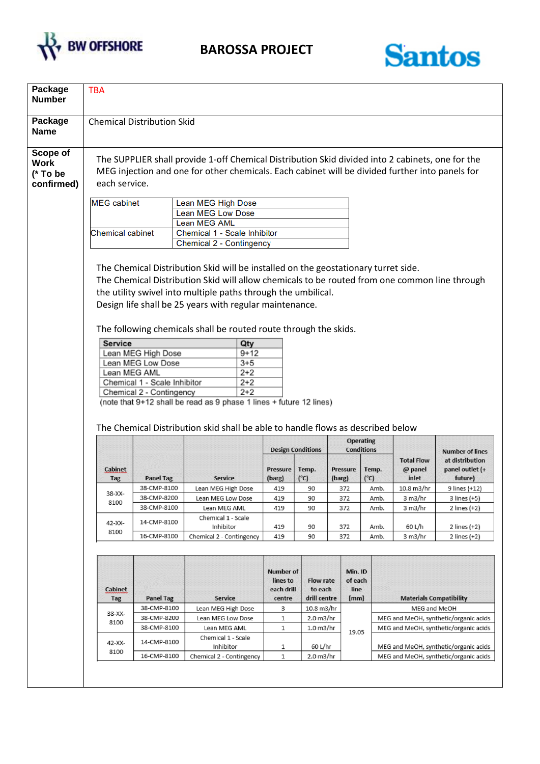



| Package<br><b>Chemical Distribution Skid</b><br><b>Name</b><br>Scope of<br>The SUPPLIER shall provide 1-off Chemical Distribution Skid divided into 2 cabinets, one for the<br><b>Work</b><br>MEG injection and one for other chemicals. Each cabinet will be divided further into panels for<br>(* To be<br>each service.<br>confirmed)<br><b>MEG</b> cabinet<br>Lean MEG High Dose<br><b>Lean MEG Low Dose</b><br><b>Lean MEG AML</b> |                                       |                                               |
|-----------------------------------------------------------------------------------------------------------------------------------------------------------------------------------------------------------------------------------------------------------------------------------------------------------------------------------------------------------------------------------------------------------------------------------------|---------------------------------------|-----------------------------------------------|
|                                                                                                                                                                                                                                                                                                                                                                                                                                         |                                       |                                               |
|                                                                                                                                                                                                                                                                                                                                                                                                                                         |                                       |                                               |
| <b>Chemical cabinet</b><br>Chemical 1 - Scale Inhibitor                                                                                                                                                                                                                                                                                                                                                                                 |                                       |                                               |
| Chemical 2 - Contingency                                                                                                                                                                                                                                                                                                                                                                                                                |                                       |                                               |
| The Chemical Distribution Skid will be installed on the geostationary turret side.<br>The Chemical Distribution Skid will allow chemicals to be routed from one common line through<br>the utility swivel into multiple paths through the umbilical.<br>Design life shall be 25 years with regular maintenance.<br>The following chemicals shall be routed route through the skids.<br><b>Service</b>                                   |                                       |                                               |
| Qty<br>Lean MEG High Dose<br>9+12                                                                                                                                                                                                                                                                                                                                                                                                       |                                       |                                               |
| Lean MEG Low Dose<br>$3 + 5$                                                                                                                                                                                                                                                                                                                                                                                                            |                                       |                                               |
| Lean MEG AML<br>2+2<br>Chemical 1 - Scale Inhibitor<br>$2+2$                                                                                                                                                                                                                                                                                                                                                                            |                                       |                                               |
| $2 + 2$<br>Chemical 2 - Contingency                                                                                                                                                                                                                                                                                                                                                                                                     |                                       |                                               |
| (note that 9+12 shall be read as 9 phase 1 lines + future 12 lines)                                                                                                                                                                                                                                                                                                                                                                     |                                       |                                               |
|                                                                                                                                                                                                                                                                                                                                                                                                                                         |                                       |                                               |
|                                                                                                                                                                                                                                                                                                                                                                                                                                         |                                       |                                               |
| The Chemical Distribution skid shall be able to handle flows as described below                                                                                                                                                                                                                                                                                                                                                         |                                       |                                               |
| <b>Operating</b><br><b>Design Conditions</b><br><b>Conditions</b>                                                                                                                                                                                                                                                                                                                                                                       |                                       | <b>Number of lines</b>                        |
| <b>Cabinet</b><br>Pressure<br>Temp.<br>Pressure<br>Temp.<br>$(^{\circ}C)$<br>(barg)<br>$(^{\circ}C)$<br><b>Tag</b><br><b>Panel Tag</b><br>Service<br>(barg)                                                                                                                                                                                                                                                                             | <b>Total Flow</b><br>@ panel<br>inlet | at distribution<br>panel outlet (+<br>future) |
| 38-CMP-8100<br>Lean MEG High Dose<br>419<br>90<br>372<br>Amb.<br>38-XX-                                                                                                                                                                                                                                                                                                                                                                 | 10.8 m3/hr                            | 9 lines (+12)                                 |
| 38-CMP-8200<br>90<br>Amb.<br>Lean MEG Low Dose<br>419<br>372<br>8100                                                                                                                                                                                                                                                                                                                                                                    | 3 m3/hr                               | 3 lines (+5)                                  |
| 38-CMP-8100<br>90<br>Amb.<br>Lean MEG AML<br>419<br>372                                                                                                                                                                                                                                                                                                                                                                                 | 3 m3/hr                               | 2 lines (+2)                                  |
| Chemical 1 - Scale<br>14-CMP-8100<br>42-XX-<br>Inhibitor<br>419<br>90<br>372<br>Amb.                                                                                                                                                                                                                                                                                                                                                    | 60 L/h                                | 2 lines (+2)                                  |
| 8100<br>16-CMP-8100<br>Chemical 2 - Contingency<br>419<br>90<br>372<br>Amb.                                                                                                                                                                                                                                                                                                                                                             | 3 m3/hr                               | 2 lines (+2)                                  |
| Min. ID<br><b>Number of</b><br><b>Flow rate</b><br>of each<br>lines to<br>each drill<br>line<br><b>Cabinet</b><br>to each<br>drill centre<br><b>Panel Tag</b><br><b>Service</b><br>centre<br>[mm]<br>Tag                                                                                                                                                                                                                                |                                       | <b>Materials Compatibility</b>                |
| 38-CMP-8100<br>10.8 m3/hr<br>Lean MEG High Dose<br>3                                                                                                                                                                                                                                                                                                                                                                                    | MEG and MeOH                          |                                               |
| 38-XX-<br>38-CMP-8200<br>Lean MEG Low Dose<br>1<br>2.0 m3/hr<br>8100                                                                                                                                                                                                                                                                                                                                                                    | MEG and MeOH, synthetic/organic acids |                                               |
| 38-CMP-8100<br>Lean MEG AML<br>1<br>1.0 <sub>m3/hr</sub><br>19.05                                                                                                                                                                                                                                                                                                                                                                       |                                       | MEG and MeOH, synthetic/organic acids         |
| Chemical 1 - Scale<br>14-CMP-8100<br>42-XX-<br>Inhibitor<br>60 L/hr<br>1                                                                                                                                                                                                                                                                                                                                                                | MEG and MeOH, synthetic/organic acids |                                               |
|                                                                                                                                                                                                                                                                                                                                                                                                                                         |                                       | MEG and MeOH, synthetic/organic acids         |
| 8100<br>16-CMP-8100<br>1<br>Chemical 2 - Contingency<br>$2.0 \text{ m}$ 3/hr                                                                                                                                                                                                                                                                                                                                                            |                                       |                                               |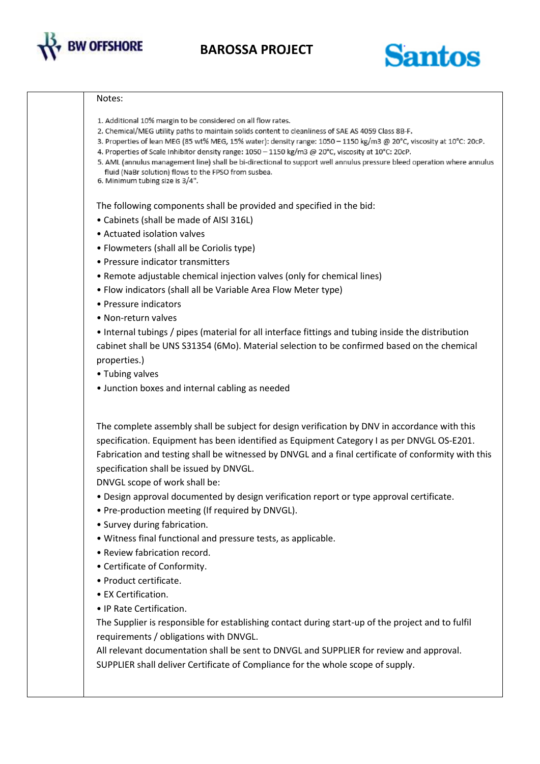

**BAROSSA PROJECT**

## Santos

## Notes:

- 1. Additional 10% margin to be considered on all flow rates.
- 2. Chemical/MEG utility paths to maintain solids content to cleanliness of SAE AS 4059 Class 8B-F.
- 3. Properties of lean MEG (85 wt% MEG, 15% water): density range: 1050 1150 kg/m3 @ 20°C, viscosity at 10°C: 20cP.
- 4. Properties of Scale Inhibitor density range: 1050 1150 kg/m3 @ 20°C, viscosity at 10°C: 20cP.
- 5. AML (annulus management line) shall be bi-directional to support well annulus pressure bleed operation where annulus fluid (NaBr solution) flows to the FPSO from susbea.
- 6. Minimum tubing size is 3/4".

The following components shall be provided and specified in the bid:

- Cabinets (shall be made of AISI 316L)
- Actuated isolation valves
- Flowmeters (shall all be Coriolis type)
- Pressure indicator transmitters
- Remote adjustable chemical injection valves (only for chemical lines)
- Flow indicators (shall all be Variable Area Flow Meter type)
- Pressure indicators
- Non-return valves

• Internal tubings / pipes (material for all interface fittings and tubing inside the distribution cabinet shall be UNS S31354 (6Mo). Material selection to be confirmed based on the chemical properties.)

- Tubing valves
- Junction boxes and internal cabling as needed

The complete assembly shall be subject for design verification by DNV in accordance with this specification. Equipment has been identified as Equipment Category I as per DNVGL OS-E201. Fabrication and testing shall be witnessed by DNVGL and a final certificate of conformity with this specification shall be issued by DNVGL.

DNVGL scope of work shall be:

- Design approval documented by design verification report or type approval certificate.
- Pre-production meeting (If required by DNVGL).
- Survey during fabrication.
- Witness final functional and pressure tests, as applicable.
- Review fabrication record.
- Certificate of Conformity.
- Product certificate.
- EX Certification.
- IP Rate Certification.

The Supplier is responsible for establishing contact during start-up of the project and to fulfil requirements / obligations with DNVGL.

All relevant documentation shall be sent to DNVGL and SUPPLIER for review and approval. SUPPLIER shall deliver Certificate of Compliance for the whole scope of supply.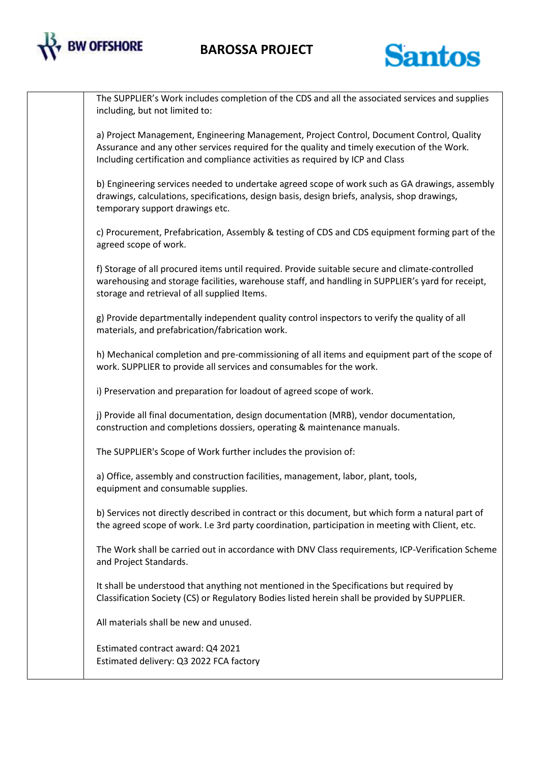

## **BAROSSA PROJECT**



The SUPPLIER's Work includes completion of the CDS and all the associated services and supplies including, but not limited to:

a) Project Management, Engineering Management, Project Control, Document Control, Quality Assurance and any other services required for the quality and timely execution of the Work. Including certification and compliance activities as required by ICP and Class

b) Engineering services needed to undertake agreed scope of work such as GA drawings, assembly drawings, calculations, specifications, design basis, design briefs, analysis, shop drawings, temporary support drawings etc.

c) Procurement, Prefabrication, Assembly & testing of CDS and CDS equipment forming part of the agreed scope of work.

f) Storage of all procured items until required. Provide suitable secure and climate-controlled warehousing and storage facilities, warehouse staff, and handling in SUPPLIER's yard for receipt, storage and retrieval of all supplied Items.

g) Provide departmentally independent quality control inspectors to verify the quality of all materials, and prefabrication/fabrication work.

h) Mechanical completion and pre-commissioning of all items and equipment part of the scope of work. SUPPLIER to provide all services and consumables for the work.

i) Preservation and preparation for loadout of agreed scope of work.

j) Provide all final documentation, design documentation (MRB), vendor documentation, construction and completions dossiers, operating & maintenance manuals.

The SUPPLIER's Scope of Work further includes the provision of:

a) Office, assembly and construction facilities, management, labor, plant, tools, equipment and consumable supplies.

b) Services not directly described in contract or this document, but which form a natural part of the agreed scope of work. I.e 3rd party coordination, participation in meeting with Client, etc.

The Work shall be carried out in accordance with DNV Class requirements, ICP-Verification Scheme and Project Standards.

It shall be understood that anything not mentioned in the Specifications but required by Classification Society (CS) or Regulatory Bodies listed herein shall be provided by SUPPLIER.

All materials shall be new and unused.

Estimated contract award: Q4 2021 Estimated delivery: Q3 2022 FCA factory